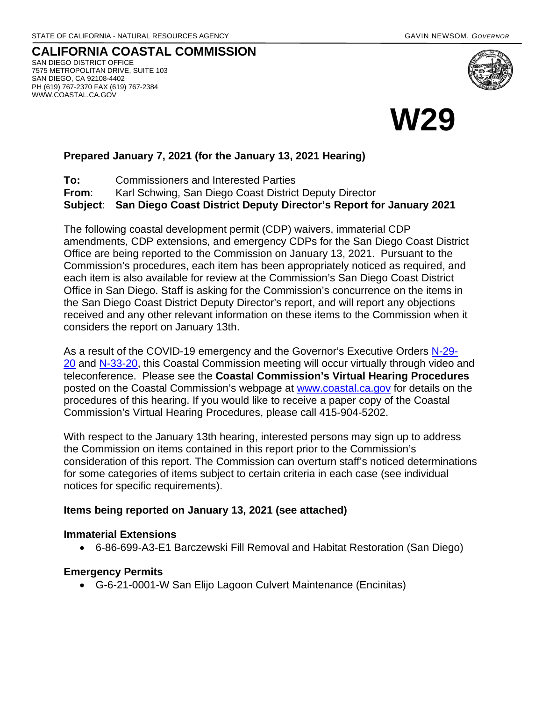**CALIFORNIA COASTAL COMMISSION** SAN DIEGO DISTRICT OFFICE 7575 METROPOLITAN DRIVE, SUITE 103 SAN DIEGO, CA 92108-4402 PH (619) 767-2370 FAX (619) 767-2384 WWW.COASTAL.CA.GOV





## **Prepared January 7, 2021 (for the January 13, 2021 Hearing)**

**To:** Commissioners and Interested Parties **From**: Karl Schwing, San Diego Coast District Deputy Director **Subject**: **San Diego Coast District Deputy Director's Report for January 2021**

The following coastal development permit (CDP) waivers, immaterial CDP amendments, CDP extensions, and emergency CDPs for the San Diego Coast District Office are being reported to the Commission on January 13, 2021. Pursuant to the Commission's procedures, each item has been appropriately noticed as required, and each item is also available for review at the Commission's San Diego Coast District Office in San Diego. Staff is asking for the Commission's concurrence on the items in the San Diego Coast District Deputy Director's report, and will report any objections received and any other relevant information on these items to the Commission when it considers the report on January 13th.

As a result of the COVID-19 emergency and the Governor's Executive Orders [N-29-](https://www.gov.ca.gov/wp-content/uploads/2020/03/3.17.20-N-29-20-EO.pdf) [20](https://www.gov.ca.gov/wp-content/uploads/2020/03/3.17.20-N-29-20-EO.pdf) and [N-33-20,](https://www.gov.ca.gov/wp-content/uploads/2020/03/3.19.20-attested-EO-N-33-20-COVID-19-HEALTH-ORDER.pdf) this Coastal Commission meeting will occur virtually through video and teleconference. Please see the **Coastal Commission's Virtual Hearing Procedures**  posted on the Coastal Commission's webpage at [www.coastal.ca.gov](http://www.coastal.ca.gov/) for details on the procedures of this hearing. If you would like to receive a paper copy of the Coastal Commission's Virtual Hearing Procedures, please call 415-904-5202.

With respect to the January 13th hearing, interested persons may sign up to address the Commission on items contained in this report prior to the Commission's consideration of this report. The Commission can overturn staff's noticed determinations for some categories of items subject to certain criteria in each case (see individual notices for specific requirements).

### **Items being reported on January 13, 2021 (see attached)**

#### **Immaterial Extensions**

• 6-86-699-A3-E1 Barczewski Fill Removal and Habitat Restoration (San Diego)

### **Emergency Permits**

• G-6-21-0001-W San Elijo Lagoon Culvert Maintenance (Encinitas)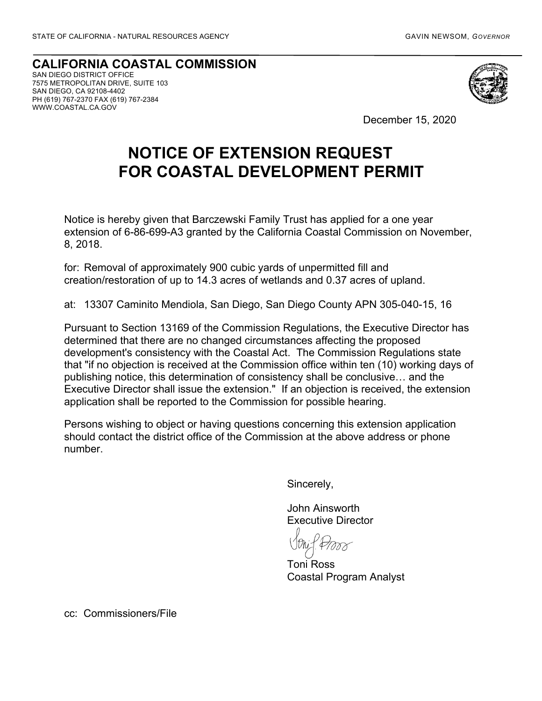**CALIFORNIA COASTAL COMMISSION** SAN DIEGO DISTRICT OFFICE 7575 METROPOLITAN DRIVE, SUITE 103 SAN DIEGO, CA 92108-4402 PH (619) 767-2370 FAX (619) 767-2384 WWW.COASTAL.CA.GOV



December 15, 2020

# **NOTICE OF EXTENSION REQUEST FOR COASTAL DEVELOPMENT PERMIT**

Notice is hereby given that Barczewski Family Trust has applied for a one year extension of 6-86-699-A3 granted by the California Coastal Commission on November, 8, 2018.

for: Removal of approximately 900 cubic yards of unpermitted fill and creation/restoration of up to 14.3 acres of wetlands and 0.37 acres of upland.

at: 13307 Caminito Mendiola, San Diego, San Diego County APN 305-040-15, 16

Pursuant to Section 13169 of the Commission Regulations, the Executive Director has determined that there are no changed circumstances affecting the proposed development's consistency with the Coastal Act. The Commission Regulations state that "if no objection is received at the Commission office within ten (10) working days of publishing notice, this determination of consistency shall be conclusive… and the Executive Director shall issue the extension." If an objection is received, the extension application shall be reported to the Commission for possible hearing.

Persons wishing to object or having questions concerning this extension application should contact the district office of the Commission at the above address or phone number.

Sincerely,

John Ainsworth Executive Director

Toni Ross Coastal Program Analyst

cc: Commissioners/File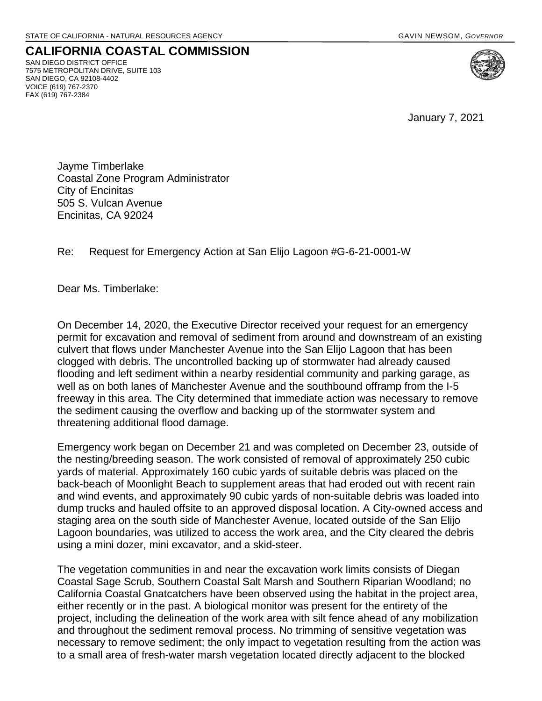**CALIFORNIA COASTAL COMMISSION** SAN DIEGO DISTRICT OFFICE 7575 METROPOLITAN DRIVE, SUITE 103 SAN DIEGO, CA 92108-4402 VOICE (619) 767-2370 FAX (619) 767-2384

January 7, 2021

Jayme Timberlake Coastal Zone Program Administrator City of Encinitas 505 S. Vulcan Avenue Encinitas, CA 92024

Re: Request for Emergency Action at San Elijo Lagoon #G-6-21-0001-W

Dear Ms. Timberlake:

On December 14, 2020, the Executive Director received your request for an emergency permit for excavation and removal of sediment from around and downstream of an existing culvert that flows under Manchester Avenue into the San Elijo Lagoon that has been clogged with debris. The uncontrolled backing up of stormwater had already caused flooding and left sediment within a nearby residential community and parking garage, as well as on both lanes of Manchester Avenue and the southbound offramp from the I-5 freeway in this area. The City determined that immediate action was necessary to remove the sediment causing the overflow and backing up of the stormwater system and threatening additional flood damage.

Emergency work began on December 21 and was completed on December 23, outside of the nesting/breeding season. The work consisted of removal of approximately 250 cubic yards of material. Approximately 160 cubic yards of suitable debris was placed on the back-beach of Moonlight Beach to supplement areas that had eroded out with recent rain and wind events, and approximately 90 cubic yards of non-suitable debris was loaded into dump trucks and hauled offsite to an approved disposal location. A City-owned access and staging area on the south side of Manchester Avenue, located outside of the San Elijo Lagoon boundaries, was utilized to access the work area, and the City cleared the debris using a mini dozer, mini excavator, and a skid-steer.

The vegetation communities in and near the excavation work limits consists of Diegan Coastal Sage Scrub, Southern Coastal Salt Marsh and Southern Riparian Woodland; no California Coastal Gnatcatchers have been observed using the habitat in the project area, either recently or in the past. A biological monitor was present for the entirety of the project, including the delineation of the work area with silt fence ahead of any mobilization and throughout the sediment removal process. No trimming of sensitive vegetation was necessary to remove sediment; the only impact to vegetation resulting from the action was to a small area of fresh-water marsh vegetation located directly adjacent to the blocked